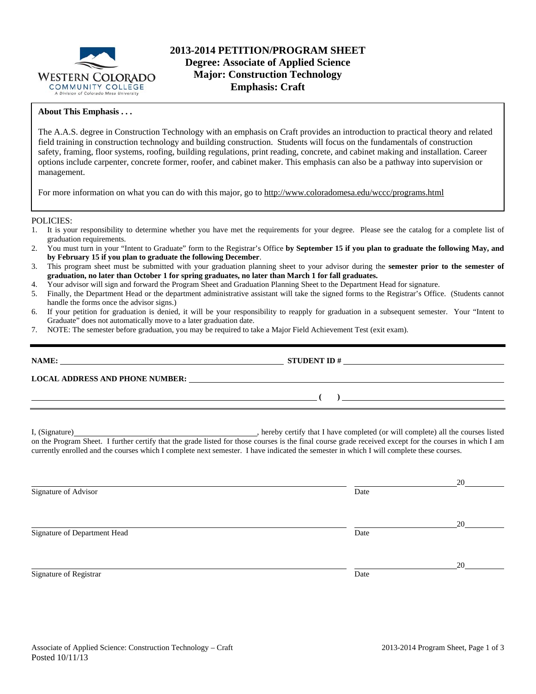

## **2013-2014 PETITION/PROGRAM SHEET Degree: Associate of Applied Science Major: Construction Technology Emphasis: Craft**

### **About This Emphasis . . .**

The A.A.S. degree in Construction Technology with an emphasis on Craft provides an introduction to practical theory and related field training in construction technology and building construction. Students will focus on the fundamentals of construction safety, framing, floor systems, roofing, building regulations, print reading, concrete, and cabinet making and installation. Career options include carpenter, concrete former, roofer, and cabinet maker. This emphasis can also be a pathway into supervision or management.

For more information on what you can do with this major, go to http://www.coloradomesa.edu/wccc/programs.html

POLICIES:

- 1. It is your responsibility to determine whether you have met the requirements for your degree. Please see the catalog for a complete list of graduation requirements.
- 2. You must turn in your "Intent to Graduate" form to the Registrar's Office **by September 15 if you plan to graduate the following May, and by February 15 if you plan to graduate the following December**.
- 3. This program sheet must be submitted with your graduation planning sheet to your advisor during the **semester prior to the semester of graduation, no later than October 1 for spring graduates, no later than March 1 for fall graduates.**
- 4. Your advisor will sign and forward the Program Sheet and Graduation Planning Sheet to the Department Head for signature.
- 5. Finally, the Department Head or the department administrative assistant will take the signed forms to the Registrar's Office. (Students cannot handle the forms once the advisor signs.)
- 6. If your petition for graduation is denied, it will be your responsibility to reapply for graduation in a subsequent semester. Your "Intent to Graduate" does not automatically move to a later graduation date.
- 7. NOTE: The semester before graduation, you may be required to take a Major Field Achievement Test (exit exam).

| NAME:                                  | <b>STUDENT ID#</b>                                                                        | <u> 1980 - Jan Stein Stein Stein Stein Stein Stein Stein Stein Stein Stein Stein Stein Stein Stein Stein Stein S</u> |
|----------------------------------------|-------------------------------------------------------------------------------------------|----------------------------------------------------------------------------------------------------------------------|
| <b>LOCAL ADDRESS AND PHONE NUMBER:</b> | <u> 1990 - Jan Sarajević, politički politički predstavanja i politička predstava i po</u> |                                                                                                                      |

I, (Signature) , hereby certify that I have completed (or will complete) all the courses listed on the Program Sheet. I further certify that the grade listed for those courses is the final course grade received except for the courses in which I am currently enrolled and the courses which I complete next semester. I have indicated the semester in which I will complete these courses.

|                              |      | 20 |
|------------------------------|------|----|
| Signature of Advisor         | Date |    |
|                              |      |    |
|                              |      | 20 |
| Signature of Department Head | Date |    |
|                              |      |    |
|                              |      | 20 |
| Signature of Registrar       | Date |    |
|                              |      |    |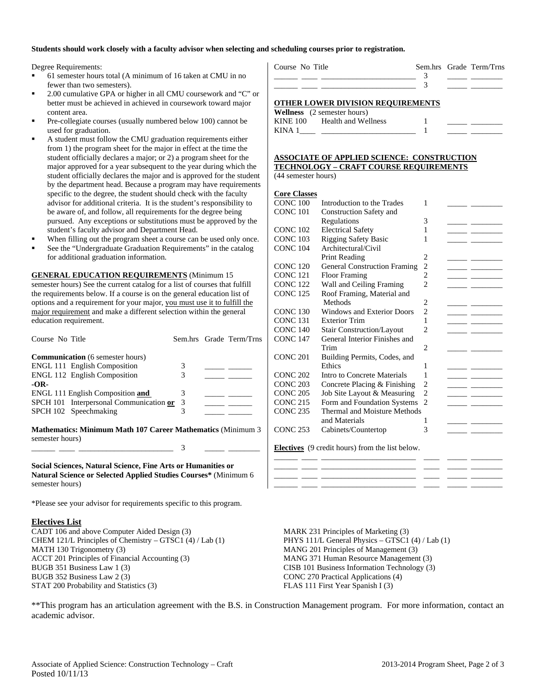#### **Students should work closely with a faculty advisor when selecting and scheduling courses prior to registration.**

Degree Requirements:

- 61 semester hours total (A minimum of 16 taken at CMU in no fewer than two semesters).
- 2.00 cumulative GPA or higher in all CMU coursework and "C" or better must be achieved in achieved in coursework toward major content area.
- Pre-collegiate courses (usually numbered below 100) cannot be used for graduation.
- A student must follow the CMU graduation requirements either from 1) the program sheet for the major in effect at the time the student officially declares a major; or 2) a program sheet for the major approved for a year subsequent to the year during which the student officially declares the major and is approved for the student by the department head. Because a program may have requirements specific to the degree, the student should check with the faculty advisor for additional criteria. It is the student's responsibility to be aware of, and follow, all requirements for the degree being pursued. Any exceptions or substitutions must be approved by the student's faculty advisor and Department Head.
- When filling out the program sheet a course can be used only once.
- See the "Undergraduate Graduation Requirements" in the catalog for additional graduation information.

**GENERAL EDUCATION REQUIREMENTS** (Minimum 15 semester hours) See the current catalog for a list of courses that fulfill the requirements below. If a course is on the general education list of options and a requirement for your major, you must use it to fulfill the major requirement and make a different selection within the general education requirement.

| Course No Title                                                                        |   | Sem.hrs Grade Term/Trns |
|----------------------------------------------------------------------------------------|---|-------------------------|
| <b>Communication</b> (6 semester hours)                                                |   |                         |
| <b>ENGL 111 English Composition</b>                                                    | 3 |                         |
| <b>ENGL 112 English Composition</b>                                                    | 3 |                         |
| $-OR-$                                                                                 |   |                         |
| ENGL 111 English Composition and                                                       | 3 |                         |
| SPCH 101 Interpersonal Communication or                                                | 3 |                         |
| SPCH 102 Speechmaking                                                                  | 3 |                         |
| <b>Mathematics: Minimum Math 107 Career Mathematics (Minimum 3)</b><br>semester hours) |   |                         |
| $\mathbf{r}$ . $\mathbf{r}$ .<br>$\cdots$                                              |   |                         |

**Social Sciences, Natural Science, Fine Arts or Humanities or Natural Science or Selected Applied Studies Courses\*** (Minimum 6 semester hours)

\*Please see your advisor for requirements specific to this program.

#### **Electives List**

CADT 106 and above Computer Aided Design (3) CHEM 121/L Principles of Chemistry – GTSC1 (4) / Lab (1) MATH 130 Trigonometry (3) ACCT 201 Principles of Financial Accounting (3) BUGB 351 Business Law 1 (3) BUGB 352 Business Law 2 (3) STAT 200 Probability and Statistics (3)

| Course No Title |                                          |  | Sem.hrs Grade Term/Trns |
|-----------------|------------------------------------------|--|-------------------------|
|                 |                                          |  |                         |
|                 |                                          |  |                         |
|                 |                                          |  |                         |
|                 | <b>OTHER LOWER DIVISION REQUIREMENTS</b> |  |                         |
|                 | <b>Wellness</b> (2 semester hours)       |  |                         |
|                 | KINE 100 Health and Wellness             |  |                         |

#### **ASSOCIATE OF APPLIED SCIENCE: CONSTRUCTION TECHNOLOGY – CRAFT COURSE REQUIREMENTS** (44 semester hours)

KINA  $1 \qquad \qquad$   $1 \qquad \qquad$ 

| <b>Core Classes</b> |                                                        |                |  |
|---------------------|--------------------------------------------------------|----------------|--|
| <b>CONC 100</b>     | Introduction to the Trades                             | 1              |  |
| <b>CONC 101</b>     | <b>Construction Safety and</b>                         |                |  |
|                     | Regulations                                            | 3              |  |
| <b>CONC 102</b>     | <b>Electrical Safety</b>                               | 1              |  |
| <b>CONC 103</b>     | <b>Rigging Safety Basic</b>                            | 1              |  |
| CONC <sub>104</sub> | Architectural/Civil                                    |                |  |
|                     | Print Reading                                          | 2              |  |
| CONC <sub>120</sub> | <b>General Construction Framing</b>                    | $\overline{c}$ |  |
| <b>CONC 121</b>     | <b>Floor Framing</b>                                   | $\overline{2}$ |  |
| <b>CONC 122</b>     | Wall and Ceiling Framing                               | $\overline{c}$ |  |
| <b>CONC 125</b>     | Roof Framing, Material and                             |                |  |
|                     | Methods                                                | $\overline{c}$ |  |
| <b>CONC 130</b>     | <b>Windows and Exterior Doors</b>                      | $\overline{2}$ |  |
| <b>CONC 131</b>     | <b>Exterior Trim</b>                                   | 1              |  |
| CONC <sub>140</sub> | <b>Stair Construction/Layout</b>                       | $\overline{2}$ |  |
| <b>CONC 147</b>     | General Interior Finishes and                          |                |  |
|                     | Trim                                                   | $\overline{c}$ |  |
| CONC <sub>201</sub> | Building Permits, Codes, and                           |                |  |
|                     | Ethics                                                 | 1              |  |
| <b>CONC 202</b>     | Intro to Concrete Materials                            | 1              |  |
| <b>CONC 203</b>     | Concrete Placing & Finishing                           | 2              |  |
| <b>CONC 205</b>     | Job Site Layout & Measuring                            | $\overline{c}$ |  |
| <b>CONC 215</b>     | Form and Foundation Systems                            | $\mathfrak{D}$ |  |
| <b>CONC 235</b>     | Thermal and Moisture Methods                           |                |  |
|                     | and Materials                                          | 1              |  |
| <b>CONC 253</b>     | Cabinets/Countertop                                    | 3              |  |
|                     | <b>Electives</b> (9 credit hours) from the list below. |                |  |
|                     |                                                        |                |  |
|                     |                                                        |                |  |
|                     |                                                        |                |  |
|                     |                                                        |                |  |

\_\_\_\_\_\_ \_\_\_\_ \_\_\_\_\_\_\_\_\_\_\_\_\_\_\_\_\_\_\_\_\_\_\_\_ \_\_\_\_ \_\_\_\_\_ \_\_\_\_\_\_\_\_

MARK 231 Principles of Marketing (3) PHYS 111/L General Physics – GTSC1 (4) / Lab (1) MANG 201 Principles of Management (3) MANG 371 Human Resource Management (3) CISB 101 Business Information Technology (3) CONC 270 Practical Applications (4) FLAS 111 First Year Spanish I (3)

\*\*This program has an articulation agreement with the B.S. in Construction Management program. For more information, contact an academic advisor.